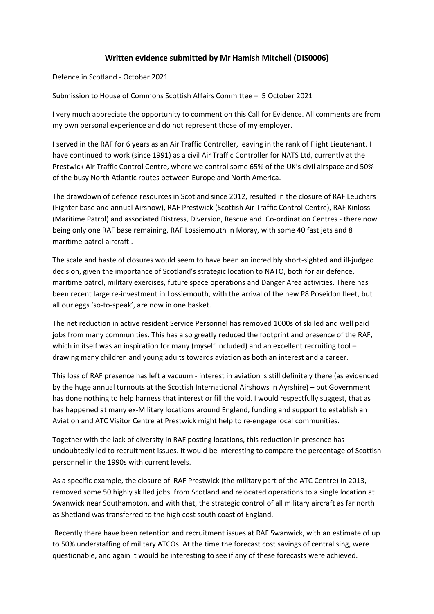## **Written evidence submitted by Mr Hamish Mitchell (DIS0006)**

## Defence in Scotland - October 2021

## Submission to House of Commons Scottish Affairs Committee – 5 October 2021

I very much appreciate the opportunity to comment on this Call for Evidence. All comments are from my own personal experience and do not represent those of my employer.

I served in the RAF for 6 years as an Air Traffic Controller, leaving in the rank of Flight Lieutenant. I have continued to work (since 1991) as a civil Air Traffic Controller for NATS Ltd, currently at the Prestwick Air Traffic Control Centre, where we control some 65% of the UK's civil airspace and 50% of the busy North Atlantic routes between Europe and North America.

The drawdown of defence resources in Scotland since 2012, resulted in the closure of RAF Leuchars (Fighter base and annual Airshow), RAF Prestwick (Scottish Air Traffic Control Centre), RAF Kinloss (Maritime Patrol) and associated Distress, Diversion, Rescue and Co-ordination Centres - there now being only one RAF base remaining, RAF Lossiemouth in Moray, with some 40 fast jets and 8 maritime patrol aircraft..

The scale and haste of closures would seem to have been an incredibly short-sighted and ill-judged decision, given the importance of Scotland's strategic location to NATO, both for air defence, maritime patrol, military exercises, future space operations and Danger Area activities. There has been recent large re-investment in Lossiemouth, with the arrival of the new P8 Poseidon fleet, but all our eggs 'so-to-speak', are now in one basket.

The net reduction in active resident Service Personnel has removed 1000s of skilled and well paid jobs from many communities. This has also greatly reduced the footprint and presence of the RAF, which in itself was an inspiration for many (myself included) and an excellent recruiting tool drawing many children and young adults towards aviation as both an interest and a career.

This loss of RAF presence has left a vacuum - interest in aviation is still definitely there (as evidenced by the huge annual turnouts at the Scottish International Airshows in Ayrshire) – but Government has done nothing to help harness that interest or fill the void. I would respectfully suggest, that as has happened at many ex-Military locations around England, funding and support to establish an Aviation and ATC Visitor Centre at Prestwick might help to re-engage local communities.

Together with the lack of diversity in RAF posting locations, this reduction in presence has undoubtedly led to recruitment issues. It would be interesting to compare the percentage of Scottish personnel in the 1990s with current levels.

As a specific example, the closure of RAF Prestwick (the military part of the ATC Centre) in 2013, removed some 50 highly skilled jobs from Scotland and relocated operations to a single location at Swanwick near Southampton, and with that, the strategic control of all military aircraft as far north as Shetland was transferred to the high cost south coast of England.

Recently there have been retention and recruitment issues at RAF Swanwick, with an estimate of up to 50% understaffing of military ATCOs. At the time the forecast cost savings of centralising, were questionable, and again it would be interesting to see if any of these forecasts were achieved.